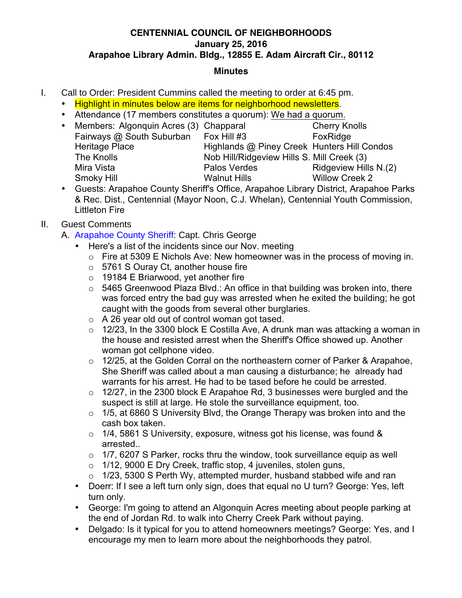### **CENTENNIAL COUNCIL OF NEIGHBORHOODS January 25, 2016 Arapahoe Library Admin. Bldg., 12855 E. Adam Aircraft Cir., 80112**

#### **Minutes**

- I. Call to Order: President Cummins called the meeting to order at 6:45 pm.
	- Highlight in minutes below are items for neighborhood newsletters.
	- Attendance (17 members constitutes a quorum): We had a quorum.
	- Members: Algonquin Acres (3) Chapparal Cherry Knolls Fairways @ South Suburban Fox Hill #3 FoxRidge Heritage Place Highlands @ Piney Creek Hunters Hill Condos The Knolls Nob Hill/Ridgeview Hills S. Mill Creek (3) Mira Vista **Palos Verdes** Ridgeview Hills N.(2) Smoky Hill **Walnut Hills** Willow Creek 2
	- Guests: Arapahoe County Sheriff's Office, Arapahoe Library District, Arapahoe Parks & Rec. Dist., Centennial (Mayor Noon, C.J. Whelan), Centennial Youth Commission, Littleton Fire

# II. Guest Comments

- A. Arapahoe County Sheriff: Capt. Chris George
	- Here's a list of the incidents since our Nov. meeting
		- $\circ$  Fire at 5309 E Nichols Ave: New homeowner was in the process of moving in.
		- o 5761 S Ouray Ct, another house fire
		- $\circ$  19184 E Briarwood, yet another fire
		- $\circ$  5465 Greenwood Plaza Blvd.: An office in that building was broken into, there was forced entry the bad guy was arrested when he exited the building; he got caught with the goods from several other burglaries.
		- o A 26 year old out of control woman got tased.
		- $\circ$  12/23, In the 3300 block E Costilla Ave, A drunk man was attacking a woman in the house and resisted arrest when the Sheriff's Office showed up. Another woman got cellphone video.
		- o 12/25, at the Golden Corral on the northeastern corner of Parker & Arapahoe, She Sheriff was called about a man causing a disturbance; he already had warrants for his arrest. He had to be tased before he could be arrested.
		- $\circ$  12/27, in the 2300 block E Arapahoe Rd, 3 businesses were burgled and the suspect is still at large. He stole the surveillance equipment, too.
		- $\circ$  1/5, at 6860 S University Blvd, the Orange Therapy was broken into and the cash box taken.
		- $\circ$  1/4, 5861 S University, exposure, witness got his license, was found & arrested..
		- $\circ$  1/7, 6207 S Parker, rocks thru the window, took surveillance equip as well
		- o 1/12, 9000 E Dry Creek, traffic stop, 4 juveniles, stolen guns,
		- $\circ$  1/23, 5300 S Perth Wy, attempted murder, husband stabbed wife and ran
	- Doerr: If I see a left turn only sign, does that equal no U turn? George: Yes, left turn only.
	- George: I'm going to attend an Algonquin Acres meeting about people parking at the end of Jordan Rd. to walk into Cherry Creek Park without paying.
	- Delgado: Is it typical for you to attend homeowners meetings? George: Yes, and I encourage my men to learn more about the neighborhoods they patrol.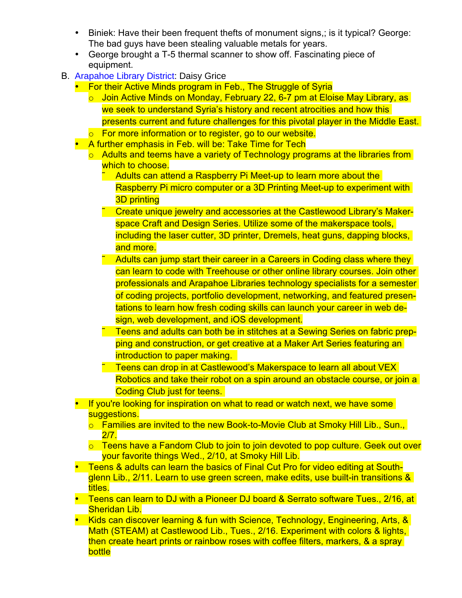- Biniek: Have their been frequent thefts of monument signs,; is it typical? George: The bad guys have been stealing valuable metals for years.
- George brought a T-5 thermal scanner to show off. Fascinating piece of equipment.
- B. Arapahoe Library District: Daisy Grice
	- For their Active Minds program in Feb., The Struggle of Syria
		- o Join Active Minds on Monday, February 22, 6-7 pm at Eloise May Library, as we seek to understand Syria's history and recent atrocities and how this presents current and future challenges for this pivotal player in the Middle East.
		- o For more information or to register, go to our website.
	- A further emphasis in Feb. will be: Take Time for Tech
		- o Adults and teems have a variety of Technology programs at the libraries from which to choose.
			- Adults can attend a Raspberry Pi Meet-up to learn more about the Raspberry Pi micro computer or a 3D Printing Meet-up to experiment with 3D printing
			- ˜ Create unique jewelry and accessories at the Castlewood Library's Makerspace Craft and Design Series. Utilize some of the makerspace tools, including the laser cutter, 3D printer, Dremels, heat guns, dapping blocks, and more.
			- Adults can jump start their career in a Careers in Coding class where they can learn to code with Treehouse or other online library courses. Join other professionals and Arapahoe Libraries technology specialists for a semester of coding projects, portfolio development, networking, and featured presentations to learn how fresh coding skills can launch your career in web design, web development, and iOS development.
			- ˜ Teens and adults can both be in stitches at a Sewing Series on fabric prepping and construction, or get creative at a Maker Art Series featuring an introduction to paper making.
			- ˜ Teens can drop in at Castlewood's Makerspace to learn all about VEX Robotics and take their robot on a spin around an obstacle course, or join a Coding Club just for teens.
	- If you're looking for inspiration on what to read or watch next, we have some suggestions.
		- o Families are invited to the new Book-to-Movie Club at Smoky Hill Lib., Sun., 2/7.
		- $\circ$  Teens have a Fandom Club to join to join devoted to pop culture. Geek out over your favorite things Wed., 2/10, at Smoky Hill Lib.
	- Teens & adults can learn the basics of Final Cut Pro for video editing at Southglenn Lib., 2/11. Learn to use green screen, make edits, use built-in transitions & titles.
	- Teens can learn to DJ with a Pioneer DJ board & Serrato software Tues., 2/16, at Sheridan Lib.
	- Kids can discover learning & fun with Science, Technology, Engineering, Arts, & Math (STEAM) at Castlewood Lib., Tues., 2/16. Experiment with colors & lights, then create heart prints or rainbow roses with coffee filters, markers, & a spray bottle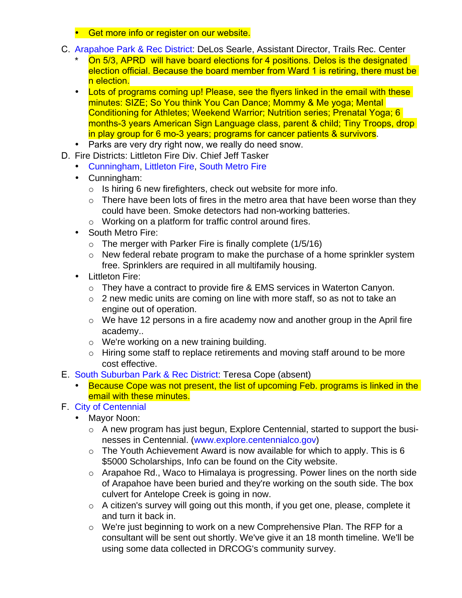- Get more info or register on our website.
- C. Arapahoe Park & Rec District: DeLos Searle, Assistant Director, Trails Rec. Center
	- On 5/3, APRD will have board elections for 4 positions. Delos is the designated election official. Because the board member from Ward 1 is retiring, there must be n election.
	- Lots of programs coming up! Please, see the flyers linked in the email with these minutes: SIZE; So You think You Can Dance; Mommy & Me yoga; Mental Conditioning for Athletes; Weekend Warrior; Nutrition series; Prenatal Yoga; 6 months-3 years American Sign Language class, parent & child; Tiny Troops, drop in play group for 6 mo-3 years; programs for cancer patients & survivors.
	- Parks are very dry right now, we really do need snow.
- D. Fire Districts: Littleton Fire Div. Chief Jeff Tasker
	- Cunningham, Littleton Fire, South Metro Fire
	- Cunningham:
		- $\circ$  Is hiring 6 new firefighters, check out website for more info.
		- $\circ$  There have been lots of fires in the metro area that have been worse than they could have been. Smoke detectors had non-working batteries.
		- o Working on a platform for traffic control around fires.
	- South Metro Fire:
		- $\circ$  The merger with Parker Fire is finally complete (1/5/16)
		- o New federal rebate program to make the purchase of a home sprinkler system free. Sprinklers are required in all multifamily housing.
	- Littleton Fire:
		- o They have a contract to provide fire & EMS services in Waterton Canyon.
		- o 2 new medic units are coming on line with more staff, so as not to take an engine out of operation.
		- o We have 12 persons in a fire academy now and another group in the April fire academy..
		- o We're working on a new training building.
		- o Hiring some staff to replace retirements and moving staff around to be more cost effective.
- E. South Suburban Park & Rec District: Teresa Cope (absent)
	- Because Cope was not present, the list of upcoming Feb. programs is linked in the email with these minutes.
- F. City of Centennial
	- Mayor Noon:
		- o A new program has just begun, Explore Centennial, started to support the businesses in Centennial. (www.explore.centennialco.gov)
		- $\circ$  The Youth Achievement Award is now available for which to apply. This is 6 \$5000 Scholarships, Info can be found on the City website.
		- o Arapahoe Rd., Waco to Himalaya is progressing. Power lines on the north side of Arapahoe have been buried and they're working on the south side. The box culvert for Antelope Creek is going in now.
		- o A citizen's survey will going out this month, if you get one, please, complete it and turn it back in.
		- o We're just beginning to work on a new Comprehensive Plan. The RFP for a consultant will be sent out shortly. We've give it an 18 month timeline. We'll be using some data collected in DRCOG's community survey.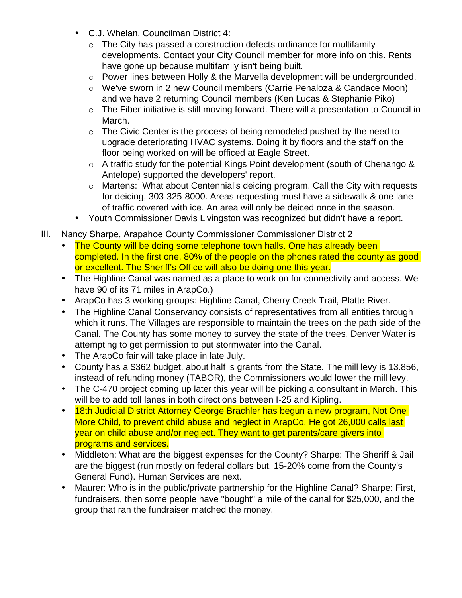- C.J. Whelan, Councilman District 4:
	- $\circ$  The City has passed a construction defects ordinance for multifamily developments. Contact your City Council member for more info on this. Rents have gone up because multifamily isn't being built.
	- o Power lines between Holly & the Marvella development will be undergrounded.
	- o We've sworn in 2 new Council members (Carrie Penaloza & Candace Moon) and we have 2 returning Council members (Ken Lucas & Stephanie Piko)
	- o The Fiber initiative is still moving forward. There will a presentation to Council in March.
	- $\circ$  The Civic Center is the process of being remodeled pushed by the need to upgrade deteriorating HVAC systems. Doing it by floors and the staff on the floor being worked on will be officed at Eagle Street.
	- o A traffic study for the potential Kings Point development (south of Chenango & Antelope) supported the developers' report.
	- o Martens: What about Centennial's deicing program. Call the City with requests for deicing, 303-325-8000. Areas requesting must have a sidewalk & one lane of traffic covered with ice. An area will only be deiced once in the season.
- Youth Commissioner Davis Livingston was recognized but didn't have a report.
- III. Nancy Sharpe, Arapahoe County Commissioner Commissioner District 2
	- The County will be doing some telephone town halls. One has already been completed. In the first one, 80% of the people on the phones rated the county as good or excellent. The Sheriff's Office will also be doing one this year.
	- The Highline Canal was named as a place to work on for connectivity and access. We have 90 of its 71 miles in ArapCo.)
	- ArapCo has 3 working groups: Highline Canal, Cherry Creek Trail, Platte River.
	- The Highline Canal Conservancy consists of representatives from all entities through which it runs. The Villages are responsible to maintain the trees on the path side of the Canal. The County has some money to survey the state of the trees. Denver Water is attempting to get permission to put stormwater into the Canal.
	- The ArapCo fair will take place in late July.
	- County has a \$362 budget, about half is grants from the State. The mill levy is 13.856, instead of refunding money (TABOR), the Commissioners would lower the mill levy.
	- The C-470 project coming up later this year will be picking a consultant in March. This will be to add toll lanes in both directions between I-25 and Kipling.
	- 18th Judicial District Attorney George Brachler has begun a new program, Not One More Child, to prevent child abuse and neglect in ArapCo. He got 26,000 calls last year on child abuse and/or neglect. They want to get parents/care givers into programs and services.
	- Middleton: What are the biggest expenses for the County? Sharpe: The Sheriff & Jail are the biggest (run mostly on federal dollars but, 15-20% come from the County's General Fund). Human Services are next.
	- Maurer: Who is in the public/private partnership for the Highline Canal? Sharpe: First, fundraisers, then some people have "bought" a mile of the canal for \$25,000, and the group that ran the fundraiser matched the money.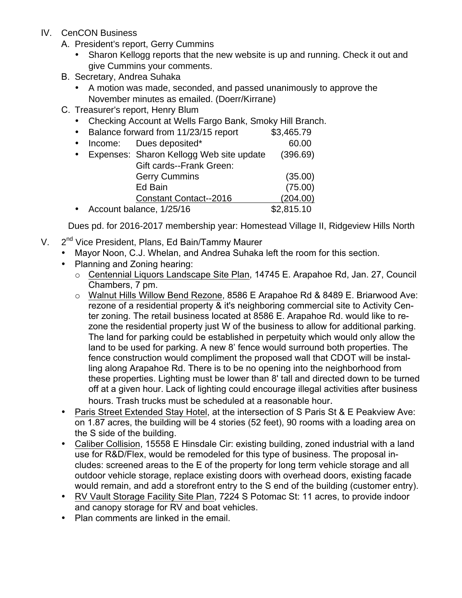- IV. CenCON Business
	- A. President's report, Gerry Cummins
		- Sharon Kellogg reports that the new website is up and running. Check it out and give Cummins your comments.
	- B. Secretary, Andrea Suhaka
		- A motion was made, seconded, and passed unanimously to approve the November minutes as emailed. (Doerr/Kirrane)
	- C. Treasurer's report, Henry Blum
		- Checking Account at Wells Fargo Bank, Smoky Hill Branch.
		- Balance forward from 11/23/15 report \$3,465.79
		- Income: Dues deposited\* 60.00 • Expenses: Sharon Kellogg Web site update (396.69) Gift cards--Frank Green: Gerry Cummins (35.00) Ed Bain (75.00) Constant Contact--2016 (204.00) • Account balance, 1/25/16 \$2,815.10

Dues pd. for 2016-2017 membership year: Homestead Village II, Ridgeview Hills North

- V. 2<sup>nd</sup> Vice President, Plans, Ed Bain/Tammy Maurer
	- Mayor Noon, C.J. Whelan, and Andrea Suhaka left the room for this section.
	- Planning and Zoning hearing:
		- o Centennial Liquors Landscape Site Plan, 14745 E. Arapahoe Rd, Jan. 27, Council Chambers, 7 pm.
		- o Walnut Hills Willow Bend Rezone, 8586 E Arapahoe Rd & 8489 E. Briarwood Ave: rezone of a residential property & it's neighboring commercial site to Activity Center zoning. The retail business located at 8586 E. Arapahoe Rd. would like to rezone the residential property just W of the business to allow for additional parking. The land for parking could be established in perpetuity which would only allow the land to be used for parking. A new 8' fence would surround both properties. The fence construction would compliment the proposed wall that CDOT will be installing along Arapahoe Rd. There is to be no opening into the neighborhood from these properties. Lighting must be lower than 8' tall and directed down to be turned off at a given hour. Lack of lighting could encourage illegal activities after business hours. Trash trucks must be scheduled at a reasonable hour.
	- Paris Street Extended Stay Hotel, at the intersection of S Paris St & E Peakview Ave: on 1.87 acres, the building will be 4 stories (52 feet), 90 rooms with a loading area on the S side of the building.
	- Caliber Collision, 15558 E Hinsdale Cir: existing building, zoned industrial with a land use for R&D/Flex, would be remodeled for this type of business. The proposal includes: screened areas to the E of the property for long term vehicle storage and all outdoor vehicle storage, replace existing doors with overhead doors, existing facade would remain, and add a storefront entry to the S end of the building (customer entry).
	- RV Vault Storage Facility Site Plan, 7224 S Potomac St: 11 acres, to provide indoor and canopy storage for RV and boat vehicles.
	- Plan comments are linked in the email.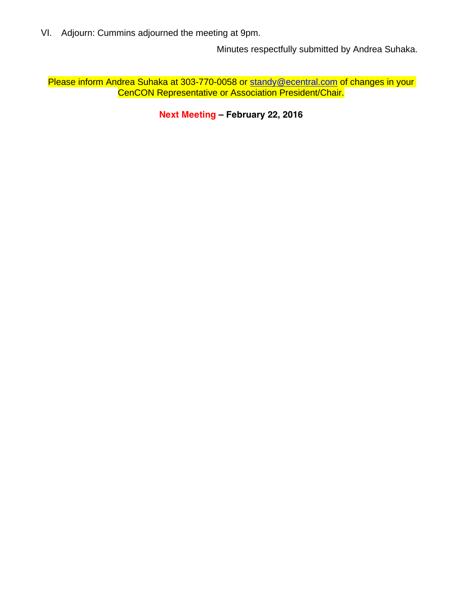VI. Adjourn: Cummins adjourned the meeting at 9pm.

Minutes respectfully submitted by Andrea Suhaka.

Please inform Andrea Suhaka at 303-770-0058 or standy@ecentral.com of changes in your CenCON Representative or Association President/Chair.

**Next Meeting – February 22, 2016**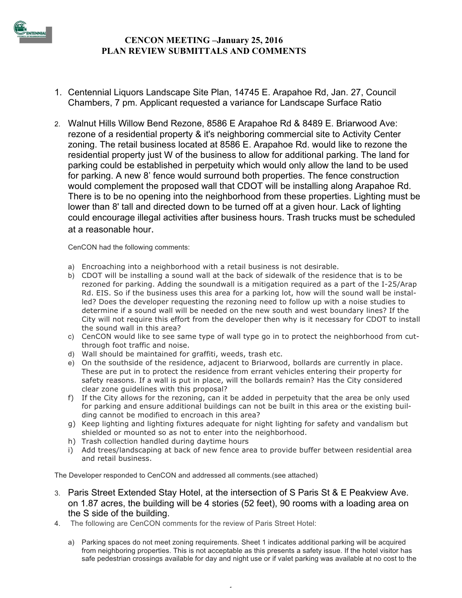

## **CENCON MEETING –January 25, 2016 PLAN REVIEW SUBMITTALS AND COMMENTS**

- 1. Centennial Liquors Landscape Site Plan, 14745 E. Arapahoe Rd, Jan. 27, Council Chambers, 7 pm. Applicant requested a variance for Landscape Surface Ratio
- 2. Walnut Hills Willow Bend Rezone, 8586 E Arapahoe Rd & 8489 E. Briarwood Ave: rezone of a residential property & it's neighboring commercial site to Activity Center zoning. The retail business located at 8586 E. Arapahoe Rd. would like to rezone the residential property just W of the business to allow for additional parking. The land for parking could be established in perpetuity which would only allow the land to be used for parking. A new 8' fence would surround both properties. The fence construction would complement the proposed wall that CDOT will be installing along Arapahoe Rd. There is to be no opening into the neighborhood from these properties. Lighting must be lower than 8' tall and directed down to be turned off at a given hour. Lack of lighting could encourage illegal activities after business hours. Trash trucks must be scheduled at a reasonable hour.

CenCON had the following comments:

- a) Encroaching into a neighborhood with a retail business is not desirable.
- b) CDOT will be installing a sound wall at the back of sidewalk of the residence that is to be rezoned for parking. Adding the soundwall is a mitigation required as a part of the I-25/Arap Rd. EIS. So if the business uses this area for a parking lot, how will the sound wall be installed? Does the developer requesting the rezoning need to follow up with a noise studies to determine if a sound wall will be needed on the new south and west boundary lines? If the City will not require this effort from the developer then why is it necessary for CDOT to install the sound wall in this area?
- c) CenCON would like to see same type of wall type go in to protect the neighborhood from cutthrough foot traffic and noise.
- d) Wall should be maintained for graffiti, weeds, trash etc.
- e) On the southside of the residence, adjacent to Briarwood, bollards are currently in place. These are put in to protect the residence from errant vehicles entering their property for safety reasons. If a wall is put in place, will the bollards remain? Has the City considered clear zone guidelines with this proposal?
- f) If the City allows for the rezoning, can it be added in perpetuity that the area be only used for parking and ensure additional buildings can not be built in this area or the existing building cannot be modified to encroach in this area?
- g) Keep lighting and lighting fixtures adequate for night lighting for safety and vandalism but shielded or mounted so as not to enter into the neighborhood.
- h) Trash collection handled during daytime hours
- i) Add trees/landscaping at back of new fence area to provide buffer between residential area and retail business.

The Developer responded to CenCON and addressed all comments.(see attached)

- 3. Paris Street Extended Stay Hotel, at the intersection of S Paris St & E Peakview Ave. on 1.87 acres, the building will be 4 stories (52 feet), 90 rooms with a loading area on the S side of the building.
- 4. The following are CenCON comments for the review of Paris Street Hotel:
	- a) Parking spaces do not meet zoning requirements. Sheet 1 indicates additional parking will be acquired from neighboring properties. This is not acceptable as this presents a safety issue. If the hotel visitor has safe pedestrian crossings available for day and night use or if valet parking was available at no cost to the

 $\overline{1}$